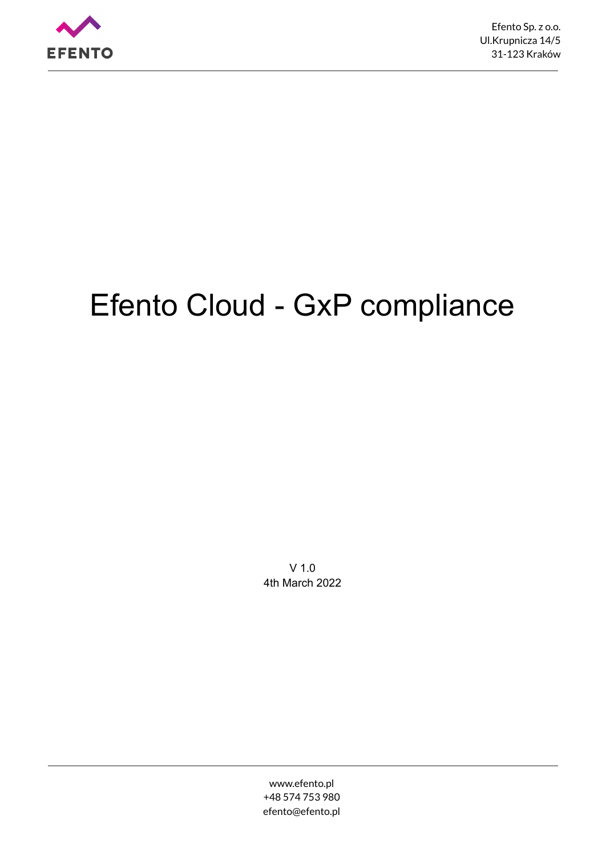

# Efento Cloud - GxP compliance

V 1.0 4th March 2022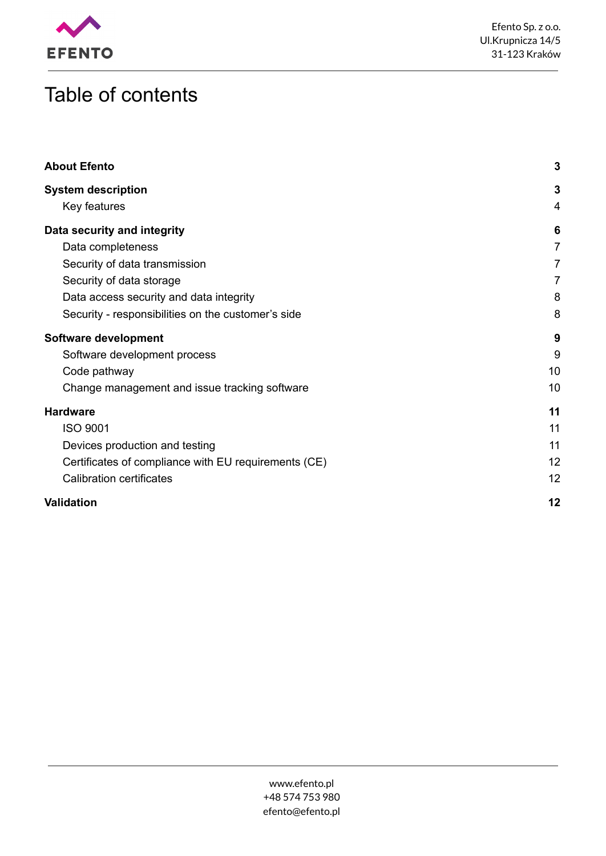

## Table of contents

| <b>About Efento</b>                                  | 3              |
|------------------------------------------------------|----------------|
| <b>System description</b>                            | 3              |
| Key features                                         | 4              |
| Data security and integrity                          | 6              |
| Data completeness                                    | 7              |
| Security of data transmission                        | $\overline{7}$ |
| Security of data storage                             | $\overline{7}$ |
| Data access security and data integrity              | 8              |
| Security - responsibilities on the customer's side   | 8              |
| Software development                                 | 9              |
| Software development process                         | 9              |
| Code pathway                                         | 10             |
| Change management and issue tracking software        | 10             |
| <b>Hardware</b>                                      | 11             |
| <b>ISO 9001</b>                                      | 11             |
| Devices production and testing                       | 11             |
| Certificates of compliance with EU requirements (CE) | 12             |
| <b>Calibration certificates</b>                      | 12             |
| Validation                                           | 12             |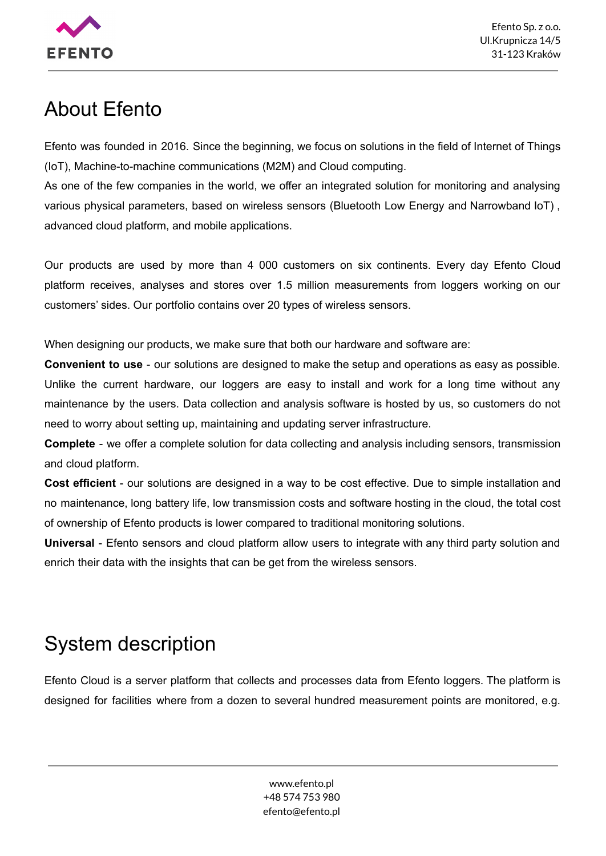

## <span id="page-2-0"></span>About Efento

Efento was founded in 2016. Since the beginning, we focus on solutions in the field of Internet of Things (IoT), Machine-to-machine communications (M2M) and Cloud computing.

As one of the few companies in the world, we offer an integrated solution for monitoring and analysing various physical parameters, based on wireless sensors (Bluetooth Low Energy and Narrowband IoT) , advanced cloud platform, and mobile applications.

Our products are used by more than 4 000 customers on six continents. Every day Efento Cloud platform receives, analyses and stores over 1.5 million measurements from loggers working on our customers' sides. Our portfolio contains over 20 types of wireless sensors.

When designing our products, we make sure that both our hardware and software are:

**Convenient to use** - our solutions are designed to make the setup and operations as easy as possible. Unlike the current hardware, our loggers are easy to install and work for a long time without any maintenance by the users. Data collection and analysis software is hosted by us, so customers do not need to worry about setting up, maintaining and updating server infrastructure.

**Complete** - we offer a complete solution for data collecting and analysis including sensors, transmission and cloud platform.

**Cost efficient** - our solutions are designed in a way to be cost effective. Due to simple installation and no maintenance, long battery life, low transmission costs and software hosting in the cloud, the total cost of ownership of Efento products is lower compared to traditional monitoring solutions.

**Universal** - Efento sensors and cloud platform allow users to integrate with any third party solution and enrich their data with the insights that can be get from the wireless sensors.

## <span id="page-2-1"></span>System description

Efento Cloud is a server platform that collects and processes data from Efento loggers. The platform is designed for facilities where from a dozen to several hundred measurement points are monitored, e.g.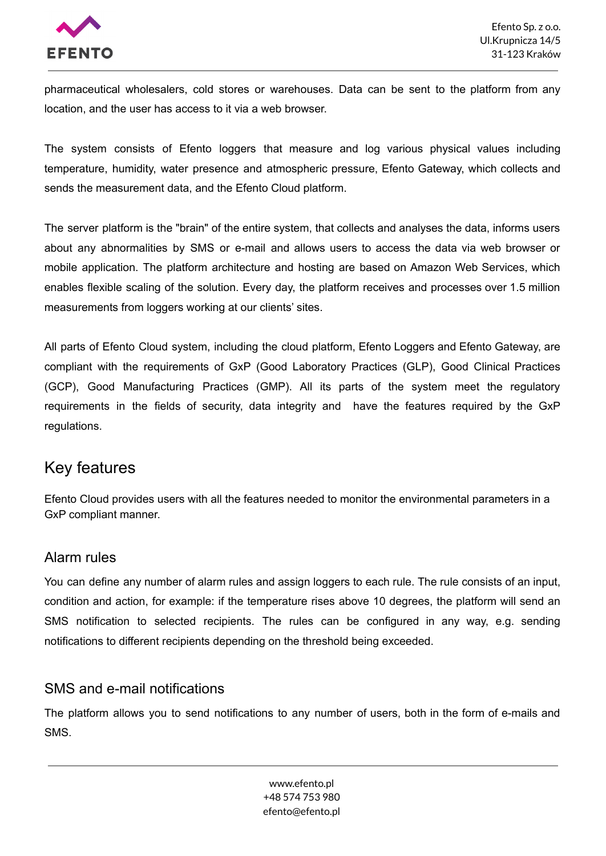

pharmaceutical wholesalers, cold stores or warehouses. Data can be sent to the platform from any location, and the user has access to it via a web browser.

The system consists of Efento loggers that measure and log various physical values including temperature, humidity, water presence and atmospheric pressure, Efento Gateway, which collects and sends the measurement data, and the Efento Cloud platform.

The server platform is the "brain" of the entire system, that collects and analyses the data, informs users about any abnormalities by SMS or e-mail and allows users to access the data via web browser or mobile application. The platform architecture and hosting are based on Amazon Web Services, which enables flexible scaling of the solution. Every day, the platform receives and processes over 1.5 million measurements from loggers working at our clients' sites.

All parts of Efento Cloud system, including the cloud platform, Efento Loggers and Efento Gateway, are compliant with the requirements of GxP (Good Laboratory Practices (GLP), Good Clinical Practices (GCP), Good Manufacturing Practices (GMP). All its parts of the system meet the regulatory requirements in the fields of security, data integrity and have the features required by the GxP regulations.

### <span id="page-3-0"></span>Key features

Efento Cloud provides users with all the features needed to monitor the environmental parameters in a GxP compliant manner.

#### Alarm rules

You can define any number of alarm rules and assign loggers to each rule. The rule consists of an input, condition and action, for example: if the temperature rises above 10 degrees, the platform will send an SMS notification to selected recipients. The rules can be configured in any way, e.g. sending notifications to different recipients depending on the threshold being exceeded.

#### SMS and e-mail notifications

The platform allows you to send notifications to any number of users, both in the form of e-mails and SMS.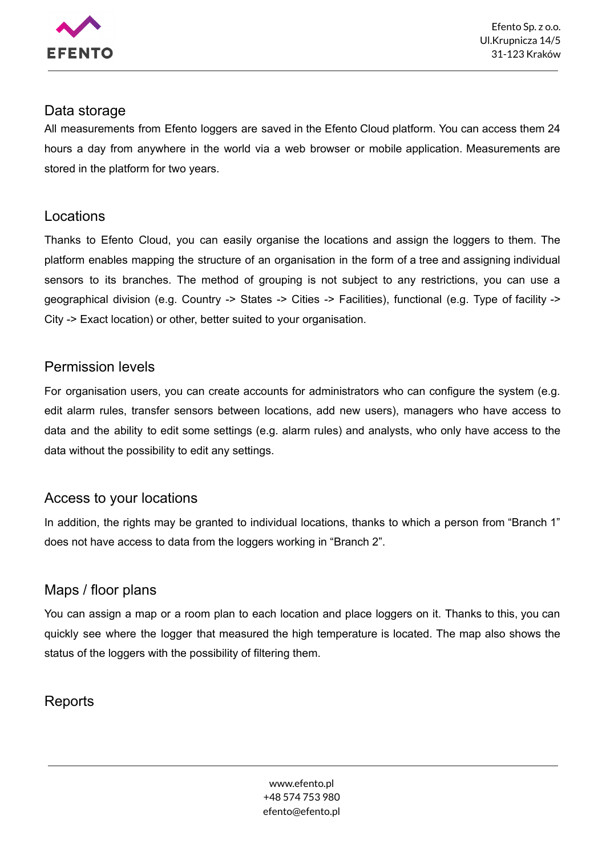

#### Data storage

All measurements from Efento loggers are saved in the Efento Cloud platform. You can access them 24 hours a day from anywhere in the world via a web browser or mobile application. Measurements are stored in the platform for two years.

#### Locations

Thanks to Efento Cloud, you can easily organise the locations and assign the loggers to them. The platform enables mapping the structure of an organisation in the form of a tree and assigning individual sensors to its branches. The method of grouping is not subject to any restrictions, you can use a geographical division (e.g. Country -> States -> Cities -> Facilities), functional (e.g. Type of facility -> City -> Exact location) or other, better suited to your organisation.

#### Permission levels

For organisation users, you can create accounts for administrators who can configure the system (e.g. edit alarm rules, transfer sensors between locations, add new users), managers who have access to data and the ability to edit some settings (e.g. alarm rules) and analysts, who only have access to the data without the possibility to edit any settings.

#### Access to your locations

In addition, the rights may be granted to individual locations, thanks to which a person from "Branch 1" does not have access to data from the loggers working in "Branch 2".

### Maps / floor plans

You can assign a map or a room plan to each location and place loggers on it. Thanks to this, you can quickly see where the logger that measured the high temperature is located. The map also shows the status of the loggers with the possibility of filtering them.

### **Reports**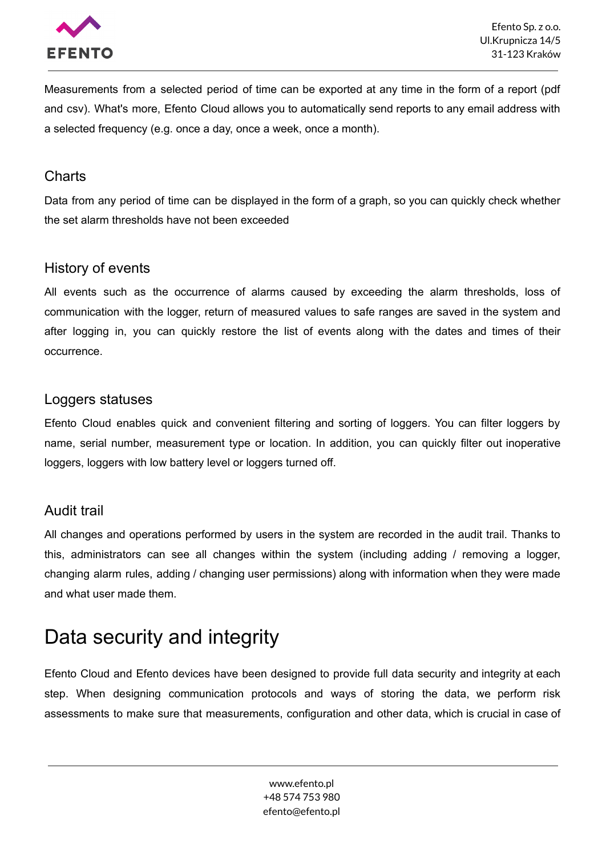

Measurements from a selected period of time can be exported at any time in the form of a report (pdf and csv). What's more, Efento Cloud allows you to automatically send reports to any email address with a selected frequency (e.g. once a day, once a week, once a month).

#### **Charts**

Data from any period of time can be displayed in the form of a graph, so you can quickly check whether the set alarm thresholds have not been exceeded

#### History of events

All events such as the occurrence of alarms caused by exceeding the alarm thresholds, loss of communication with the logger, return of measured values to safe ranges are saved in the system and after logging in, you can quickly restore the list of events along with the dates and times of their occurrence.

#### Loggers statuses

Efento Cloud enables quick and convenient filtering and sorting of loggers. You can filter loggers by name, serial number, measurement type or location. In addition, you can quickly filter out inoperative loggers, loggers with low battery level or loggers turned off.

#### Audit trail

All changes and operations performed by users in the system are recorded in the audit trail. Thanks to this, administrators can see all changes within the system (including adding / removing a logger, changing alarm rules, adding / changing user permissions) along with information when they were made and what user made them.

## <span id="page-5-0"></span>Data security and integrity

Efento Cloud and Efento devices have been designed to provide full data security and integrity at each step. When designing communication protocols and ways of storing the data, we perform risk assessments to make sure that measurements, configuration and other data, which is crucial in case of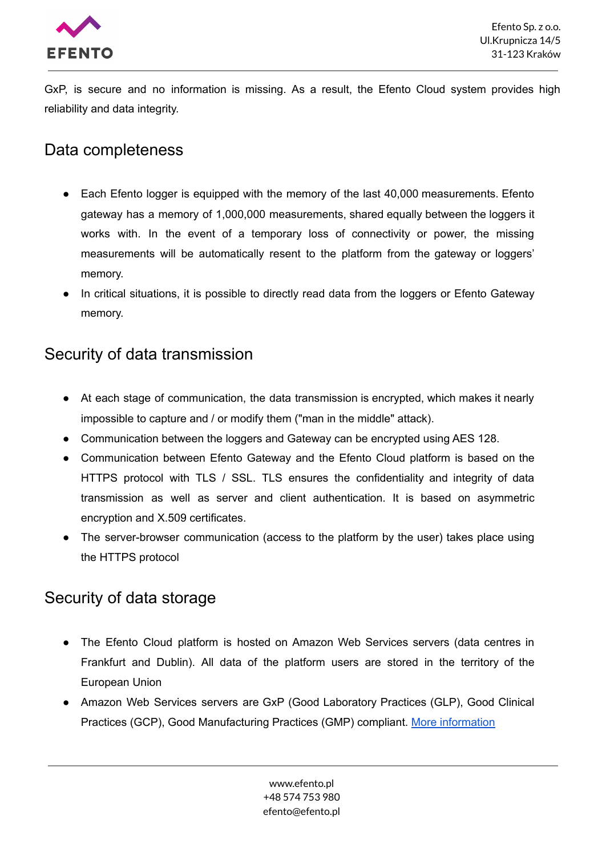

GxP, is secure and no information is missing. As a result, the Efento Cloud system provides high reliability and data integrity.

## <span id="page-6-0"></span>Data completeness

- Each Efento logger is equipped with the memory of the last 40,000 measurements. Efento gateway has a memory of 1,000,000 measurements, shared equally between the loggers it works with. In the event of a temporary loss of connectivity or power, the missing measurements will be automatically resent to the platform from the gateway or loggers' memory.
- In critical situations, it is possible to directly read data from the loggers or Efento Gateway memory.

### <span id="page-6-1"></span>Security of data transmission

- At each stage of communication, the data transmission is encrypted, which makes it nearly impossible to capture and / or modify them ("man in the middle" attack).
- Communication between the loggers and Gateway can be encrypted using AES 128.
- Communication between Efento Gateway and the Efento Cloud platform is based on the HTTPS protocol with TLS / SSL. TLS ensures the confidentiality and integrity of data transmission as well as server and client authentication. It is based on asymmetric encryption and X.509 certificates.
- The server-browser communication (access to the platform by the user) takes place using the HTTPS protocol

## <span id="page-6-2"></span>Security of data storage

- The Efento Cloud platform is hosted on Amazon Web Services servers (data centres in Frankfurt and Dublin). All data of the platform users are stored in the territory of the European Union
- Amazon Web Services servers are GxP (Good Laboratory Practices (GLP), Good Clinical Practices (GCP), Good Manufacturing Practices (GMP) compliant. More [information](https://aws.amazon.com/compliance/gxp-part-11-annex-11/)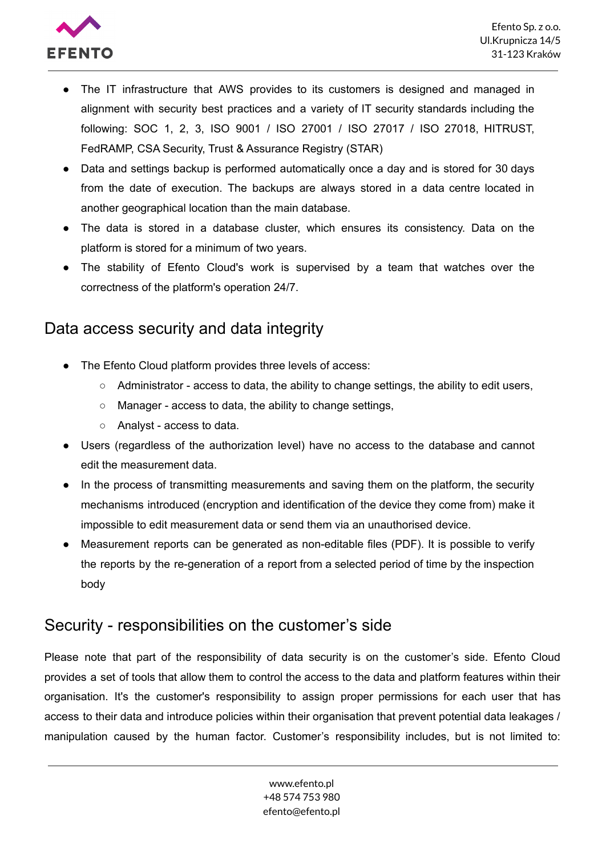

- The IT infrastructure that AWS provides to its customers is designed and managed in alignment with security best practices and a variety of IT security standards including the following: SOC 1, 2, 3, ISO 9001 / ISO 27001 / ISO 27017 / ISO 27018, HITRUST, FedRAMP, CSA Security, Trust & Assurance Registry (STAR)
- Data and settings backup is performed automatically once a day and is stored for 30 days from the date of execution. The backups are always stored in a data centre located in another geographical location than the main database.
- The data is stored in a database cluster, which ensures its consistency. Data on the platform is stored for a minimum of two years.
- The stability of Efento Cloud's work is supervised by a team that watches over the correctness of the platform's operation 24/7.

## <span id="page-7-0"></span>Data access security and data integrity

- The Efento Cloud platform provides three levels of access:
	- $\circ$  Administrator access to data, the ability to change settings, the ability to edit users,
	- Manager access to data, the ability to change settings,
	- Analyst access to data.
- Users (regardless of the authorization level) have no access to the database and cannot edit the measurement data.
- In the process of transmitting measurements and saving them on the platform, the security mechanisms introduced (encryption and identification of the device they come from) make it impossible to edit measurement data or send them via an unauthorised device.
- Measurement reports can be generated as non-editable files (PDF). It is possible to verify the reports by the re-generation of a report from a selected period of time by the inspection body

### <span id="page-7-1"></span>Security - responsibilities on the customer's side

Please note that part of the responsibility of data security is on the customer's side. Efento Cloud provides a set of tools that allow them to control the access to the data and platform features within their organisation. It's the customer's responsibility to assign proper permissions for each user that has access to their data and introduce policies within their organisation that prevent potential data leakages / manipulation caused by the human factor. Customer's responsibility includes, but is not limited to: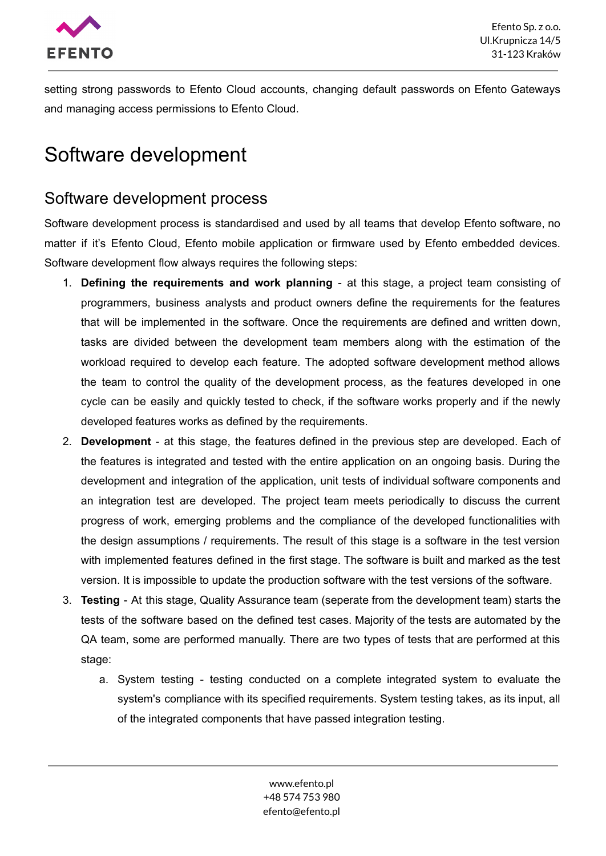

setting strong passwords to Efento Cloud accounts, changing default passwords on Efento Gateways and managing access permissions to Efento Cloud.

## <span id="page-8-0"></span>Software development

### <span id="page-8-1"></span>Software development process

Software development process is standardised and used by all teams that develop Efento software, no matter if it's Efento Cloud, Efento mobile application or firmware used by Efento embedded devices. Software development flow always requires the following steps:

- 1. **Defining the requirements and work planning** at this stage, a project team consisting of programmers, business analysts and product owners define the requirements for the features that will be implemented in the software. Once the requirements are defined and written down, tasks are divided between the development team members along with the estimation of the workload required to develop each feature. The adopted software development method allows the team to control the quality of the development process, as the features developed in one cycle can be easily and quickly tested to check, if the software works properly and if the newly developed features works as defined by the requirements.
- 2. **Development** at this stage, the features defined in the previous step are developed. Each of the features is integrated and tested with the entire application on an ongoing basis. During the development and integration of the application, unit tests of individual software components and an integration test are developed. The project team meets periodically to discuss the current progress of work, emerging problems and the compliance of the developed functionalities with the design assumptions / requirements. The result of this stage is a software in the test version with implemented features defined in the first stage. The software is built and marked as the test version. It is impossible to update the production software with the test versions of the software.
- 3. **Testing** At this stage, Quality Assurance team (seperate from the development team) starts the tests of the software based on the defined test cases. Majority of the tests are automated by the QA team, some are performed manually. There are two types of tests that are performed at this stage:
	- a. System testing testing conducted on a complete integrated system to evaluate the system's compliance with its specified requirements. System testing takes, as its input, all of the integrated components that have passed integration testing.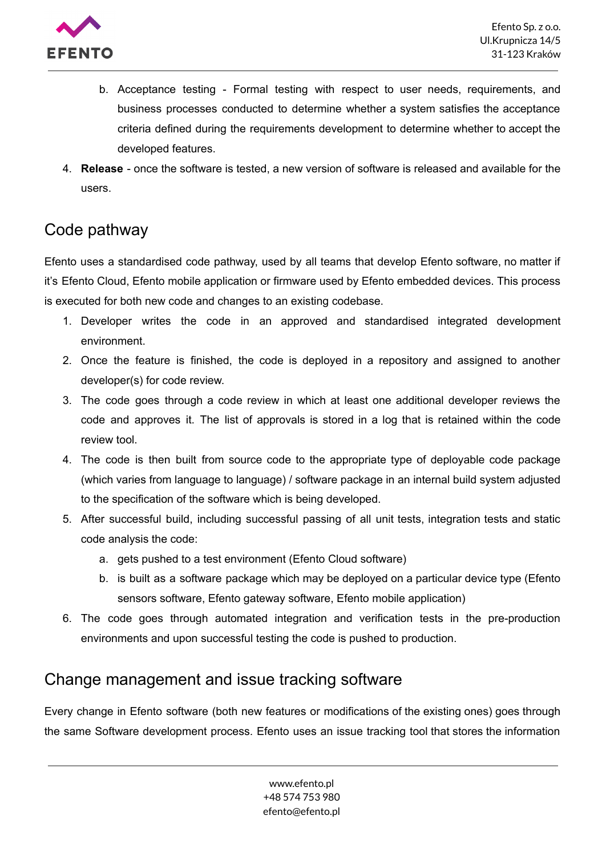

- b. Acceptance testing Formal testing with respect to user needs, requirements, and business processes conducted to determine whether a system satisfies the acceptance criteria defined during the requirements development to determine whether to accept the developed features.
- 4. **Release** once the software is tested, a new version of software is released and available for the users.

## <span id="page-9-0"></span>Code pathway

Efento uses a standardised code pathway, used by all teams that develop Efento software, no matter if it's Efento Cloud, Efento mobile application or firmware used by Efento embedded devices. This process is executed for both new code and changes to an existing codebase.

- 1. Developer writes the code in an approved and standardised integrated development environment.
- 2. Once the feature is finished, the code is deployed in a repository and assigned to another developer(s) for code review.
- 3. The code goes through a code review in which at least one additional developer reviews the code and approves it. The list of approvals is stored in a log that is retained within the code review tool.
- 4. The code is then built from source code to the appropriate type of deployable code package (which varies from language to language) / software package in an internal build system adjusted to the specification of the software which is being developed.
- 5. After successful build, including successful passing of all unit tests, integration tests and static code analysis the code:
	- a. gets pushed to a test environment (Efento Cloud software)
	- b. is built as a software package which may be deployed on a particular device type (Efento sensors software, Efento gateway software, Efento mobile application)
- 6. The code goes through automated integration and verification tests in the pre-production environments and upon successful testing the code is pushed to production.

### <span id="page-9-1"></span>Change management and issue tracking software

Every change in Efento software (both new features or modifications of the existing ones) goes through the same Software development process. Efento uses an issue tracking tool that stores the information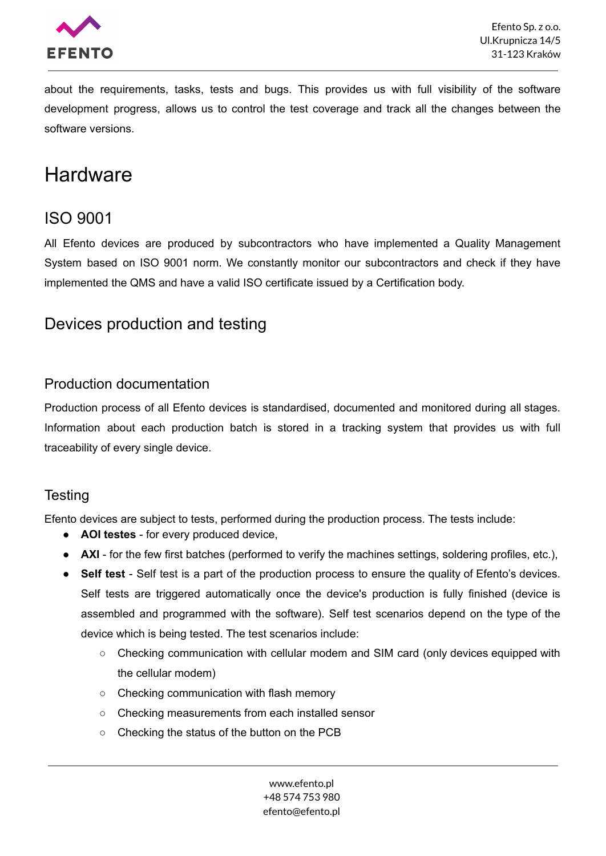

about the requirements, tasks, tests and bugs. This provides us with full visibility of the software development progress, allows us to control the test coverage and track all the changes between the software versions.

## <span id="page-10-0"></span>**Hardware**

## <span id="page-10-1"></span>ISO 9001

All Efento devices are produced by subcontractors who have implemented a Quality Management System based on ISO 9001 norm. We constantly monitor our subcontractors and check if they have implemented the QMS and have a valid ISO certificate issued by a Certification body.

## <span id="page-10-2"></span>Devices production and testing

#### Production documentation

Production process of all Efento devices is standardised, documented and monitored during all stages. Information about each production batch is stored in a tracking system that provides us with full traceability of every single device.

#### **Testing**

Efento devices are subject to tests, performed during the production process. The tests include:

- **AOI testes** for every produced device,
- **AXI** for the few first batches (performed to verify the machines settings, soldering profiles, etc.),
- **Self test** Self test is a part of the production process to ensure the quality of Efento's devices. Self tests are triggered automatically once the device's production is fully finished (device is assembled and programmed with the software). Self test scenarios depend on the type of the device which is being tested. The test scenarios include:
	- $\circ$  Checking communication with cellular modem and SIM card (only devices equipped with the cellular modem)
	- Checking communication with flash memory
	- Checking measurements from each installed sensor
	- Checking the status of the button on the PCB